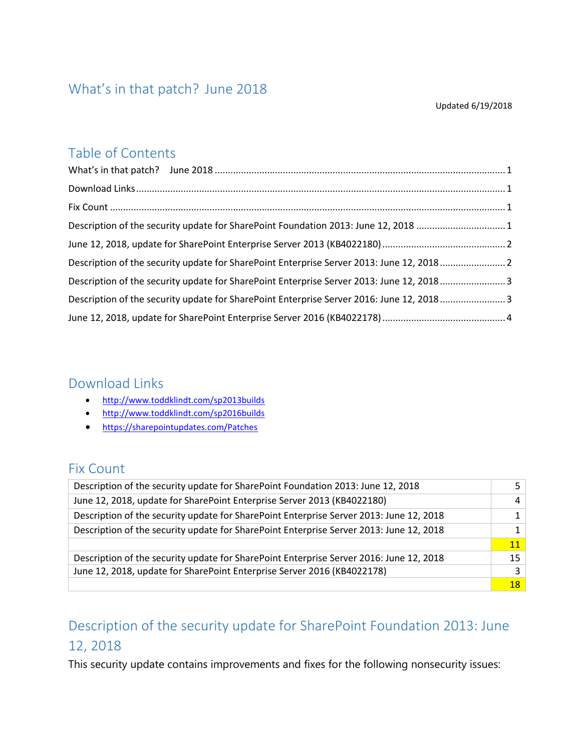#### <span id="page-0-0"></span>What's in that patch? June 2018

#### Updated 6/19/2018

#### Table of Contents

| Description of the security update for SharePoint Foundation 2013: June 12, 2018 1       |  |
|------------------------------------------------------------------------------------------|--|
|                                                                                          |  |
| Description of the security update for SharePoint Enterprise Server 2013: June 12, 20182 |  |
| Description of the security update for SharePoint Enterprise Server 2013: June 12, 20183 |  |
| Description of the security update for SharePoint Enterprise Server 2016: June 12, 20183 |  |
|                                                                                          |  |

#### <span id="page-0-1"></span>Download Links

- <http://www.toddklindt.com/sp2013builds>
- <http://www.toddklindt.com/sp2016builds>
- <https://sharepointupdates.com/Patches>

#### <span id="page-0-2"></span>Fix Count

| Description of the security update for SharePoint Foundation 2013: June 12, 2018        |    |
|-----------------------------------------------------------------------------------------|----|
| June 12, 2018, update for SharePoint Enterprise Server 2013 (KB4022180)                 |    |
| Description of the security update for SharePoint Enterprise Server 2013: June 12, 2018 |    |
| Description of the security update for SharePoint Enterprise Server 2013: June 12, 2018 |    |
|                                                                                         | 11 |
| Description of the security update for SharePoint Enterprise Server 2016: June 12, 2018 | 15 |
| June 12, 2018, update for SharePoint Enterprise Server 2016 (KB4022178)                 |    |
|                                                                                         | 18 |

# <span id="page-0-3"></span>Description of the security update for SharePoint Foundation 2013: June 12, 2018

This security update contains improvements and fixes for the following nonsecurity issues: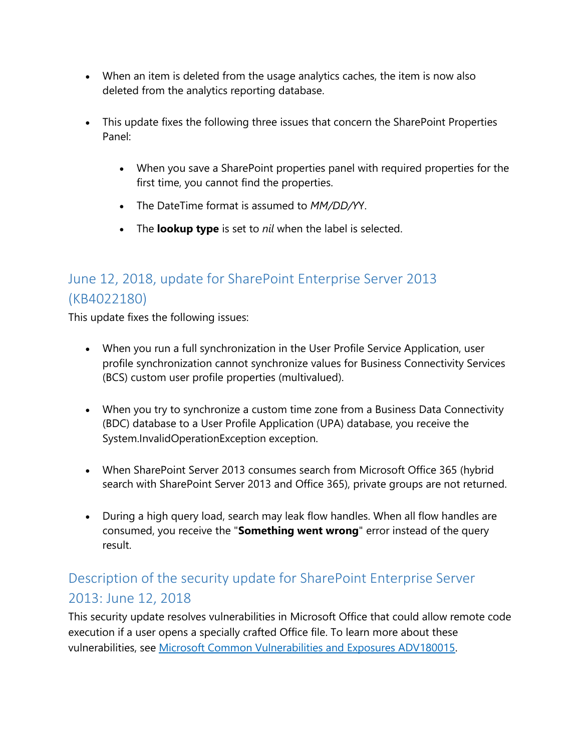- When an item is deleted from the usage analytics caches, the item is now also deleted from the analytics reporting database.
- This update fixes the following three issues that concern the SharePoint Properties Panel:
	- When you save a SharePoint properties panel with required properties for the first time, you cannot find the properties.
	- The DateTime format is assumed to *MM/DD/Y*Y.
	- The **lookup type** is set to *nil* when the label is selected.

## <span id="page-1-0"></span>June 12, 2018, update for SharePoint Enterprise Server 2013 (KB4022180)

This update fixes the following issues:

- When you run a full synchronization in the User Profile Service Application, user profile synchronization cannot synchronize values for Business Connectivity Services (BCS) custom user profile properties (multivalued).
- When you try to synchronize a custom time zone from a Business Data Connectivity (BDC) database to a User Profile Application (UPA) database, you receive the System.InvalidOperationException exception.
- When SharePoint Server 2013 consumes search from Microsoft Office 365 (hybrid search with SharePoint Server 2013 and Office 365), private groups are not returned.
- During a high query load, search may leak flow handles. When all flow handles are consumed, you receive the "**Something went wrong**" error instead of the query result.

## <span id="page-1-1"></span>Description of the security update for SharePoint Enterprise Server 2013: June 12, 2018

This security update resolves vulnerabilities in Microsoft Office that could allow remote code execution if a user opens a specially crafted Office file. To learn more about these vulnerabilities, see [Microsoft Common Vulnerabilities and Exposures ADV180015.](https://portal.msrc.microsoft.com/en-US/security-guidance/advisory/ADV180015)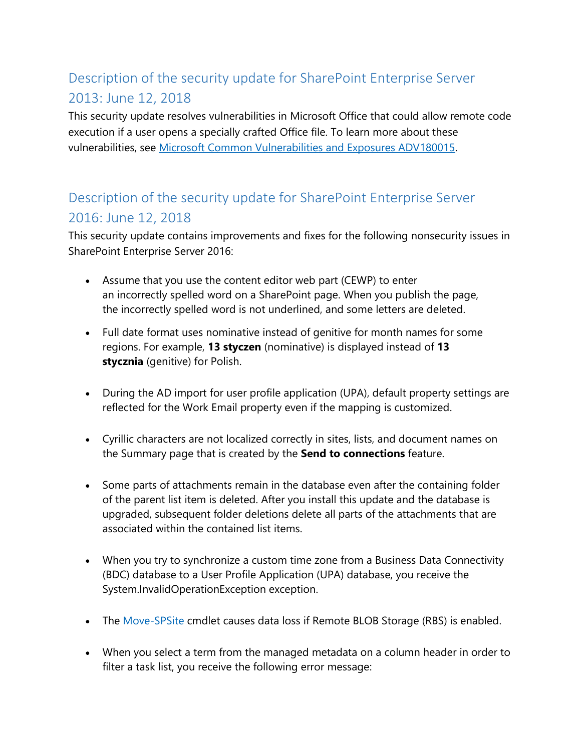# <span id="page-2-0"></span>Description of the security update for SharePoint Enterprise Server 2013: June 12, 2018

This security update resolves vulnerabilities in Microsoft Office that could allow remote code execution if a user opens a specially crafted Office file. To learn more about these vulnerabilities, see [Microsoft Common Vulnerabilities and Exposures ADV180015.](https://portal.msrc.microsoft.com/en-US/security-guidance/advisory/ADV180015)

#### <span id="page-2-1"></span>Description of the security update for SharePoint Enterprise Server 2016: June 12, 2018

This security update contains improvements and fixes for the following nonsecurity issues in SharePoint Enterprise Server 2016:

- Assume that you use the content editor web part (CEWP) to enter an incorrectly spelled word on a SharePoint page. When you publish the page, the incorrectly spelled word is not underlined, and some letters are deleted.
- Full date format uses nominative instead of genitive for month names for some regions. For example, **13 styczen** (nominative) is displayed instead of **13 stycznia** (genitive) for Polish.
- During the AD import for user profile application (UPA), default property settings are reflected for the Work Email property even if the mapping is customized.
- Cyrillic characters are not localized correctly in sites, lists, and document names on the Summary page that is created by the **Send to connections** feature.
- Some parts of attachments remain in the database even after the containing folder of the parent list item is deleted. After you install this update and the database is upgraded, subsequent folder deletions delete all parts of the attachments that are associated within the contained list items.
- When you try to synchronize a custom time zone from a Business Data Connectivity (BDC) database to a User Profile Application (UPA) database, you receive the System.InvalidOperationException exception.
- The [Move-SPSite](https://docs.microsoft.com/powershell/module/sharepoint-server/move-spsite?view=sharepoint-ps) cmdlet causes data loss if Remote BLOB Storage (RBS) is enabled.
- When you select a term from the managed metadata on a column header in order to filter a task list, you receive the following error message: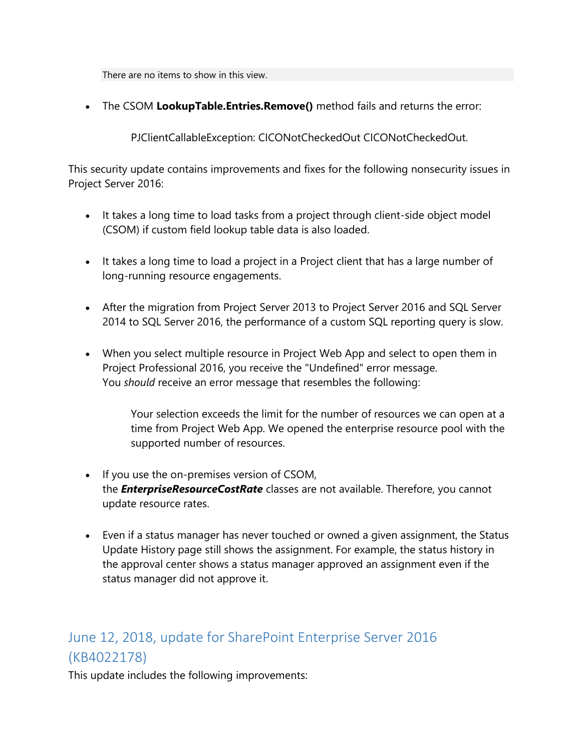There are no items to show in this view.

• The CSOM **LookupTable.Entries.Remove()** method fails and returns the error:

PJClientCallableException: CICONotCheckedOut CICONotCheckedOut.

This security update contains improvements and fixes for the following nonsecurity issues in Project Server 2016:

- It takes a long time to load tasks from a project through client-side object model (CSOM) if custom field lookup table data is also loaded.
- It takes a long time to load a project in a Project client that has a large number of long-running resource engagements.
- After the migration from Project Server 2013 to Project Server 2016 and SQL Server 2014 to SQL Server 2016, the performance of a custom SQL reporting query is slow.
- When you select multiple resource in Project Web App and select to open them in Project Professional 2016, you receive the "Undefined" error message. You *should* receive an error message that resembles the following:

Your selection exceeds the limit for the number of resources we can open at a time from Project Web App. We opened the enterprise resource pool with the supported number of resources.

- If you use the on-premises version of CSOM, the *EnterpriseResourceCostRate* classes are not available. Therefore, you cannot update resource rates.
- Even if a status manager has never touched or owned a given assignment, the Status Update History page still shows the assignment. For example, the status history in the approval center shows a status manager approved an assignment even if the status manager did not approve it.

## <span id="page-3-0"></span>June 12, 2018, update for SharePoint Enterprise Server 2016 (KB4022178)

This update includes the following improvements: